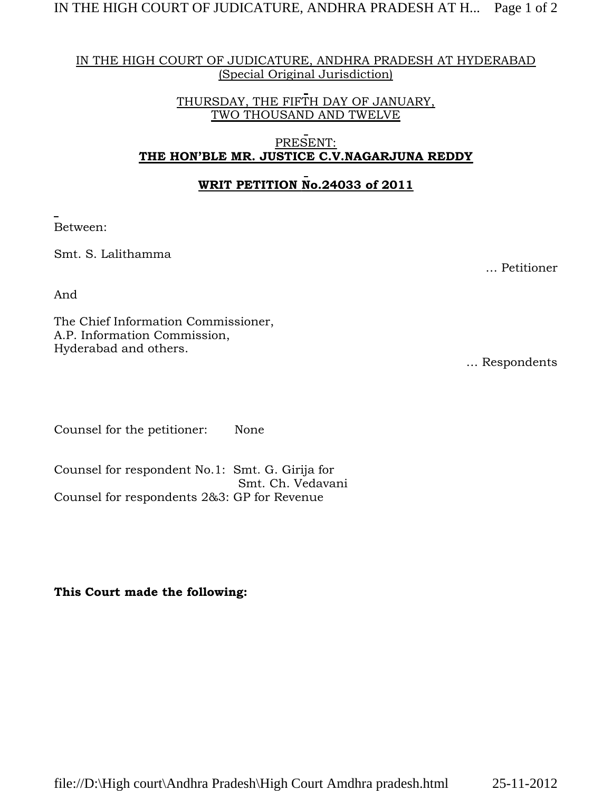### IN THE HIGH COURT OF JUDICATURE, ANDHRA PRADESH AT HYDERABAD (Special Original Jurisdiction)

THURSDAY, THE FIFTH DAY OF JANUARY, TWO THOUSAND AND TWELVE

### PRESENT: **THE HON'BLE MR. JUSTICE C.V.NAGARJUNA REDDY**

## **WRIT PETITION No.24033 of 2011**

Between:

Smt. S. Lalithamma

And

The Chief Information Commissioner, A.P. Information Commission, Hyderabad and others.

… Respondents

… Petitioner

Counsel for the petitioner: None

Counsel for respondent No.1: Smt. G. Girija for Smt. Ch. Vedavani Counsel for respondents 2&3: GP for Revenue

**This Court made the following:**